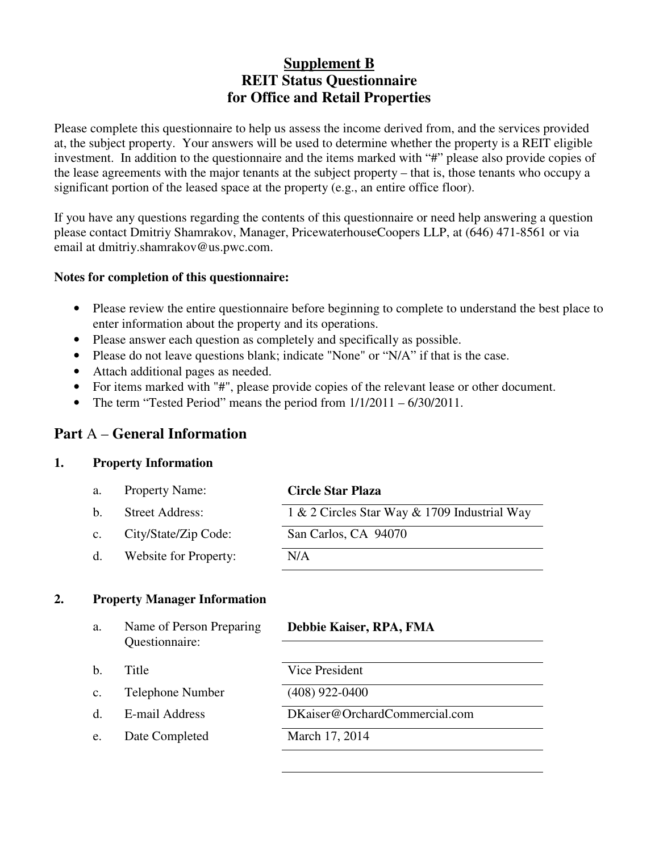## **Supplement B REIT Status Questionnaire for Office and Retail Properties**

Please complete this questionnaire to help us assess the income derived from, and the services provided at, the subject property. Your answers will be used to determine whether the property is a REIT eligible investment. In addition to the questionnaire and the items marked with "#" please also provide copies of the lease agreements with the major tenants at the subject property – that is, those tenants who occupy a significant portion of the leased space at the property (e.g., an entire office floor).

If you have any questions regarding the contents of this questionnaire or need help answering a question please contact Dmitriy Shamrakov, Manager, PricewaterhouseCoopers LLP, at (646) 471-8561 or via email at dmitriy.shamrakov@us.pwc.com.

#### **Notes for completion of this questionnaire:**

- Please review the entire questionnaire before beginning to complete to understand the best place to enter information about the property and its operations.
- Please answer each question as completely and specifically as possible.
- Please do not leave questions blank; indicate "None" or "N/A" if that is the case.
- Attach additional pages as needed.
- For items marked with "#", please provide copies of the relevant lease or other document.
- The term "Tested Period" means the period from  $1/1/2011 6/30/2011$ .

## **Part** A – **General Information**

#### **1. Property Information**

| а.             | <b>Property Name:</b>  | <b>Circle Star Plaza</b>                     |
|----------------|------------------------|----------------------------------------------|
| b.             | <b>Street Address:</b> | 1 & 2 Circles Star Way & 1709 Industrial Way |
| $\mathbf{c}$ . | City/State/Zip Code:   | San Carlos, CA 94070                         |
| $d_{\cdot}$    | Website for Property:  | N/A                                          |

#### **2. Property Manager Information**

| a. | Name of Person Preparing<br>Questionnaire: | Debbie Kaiser, RPA, FMA       |
|----|--------------------------------------------|-------------------------------|
|    |                                            |                               |
| b. | Title                                      | Vice President                |
| c. | Telephone Number                           | $(408)$ 922-0400              |
|    | E-mail Address                             | DKaiser@OrchardCommercial.com |
| e. | Date Completed                             | March 17, 2014                |
|    |                                            |                               |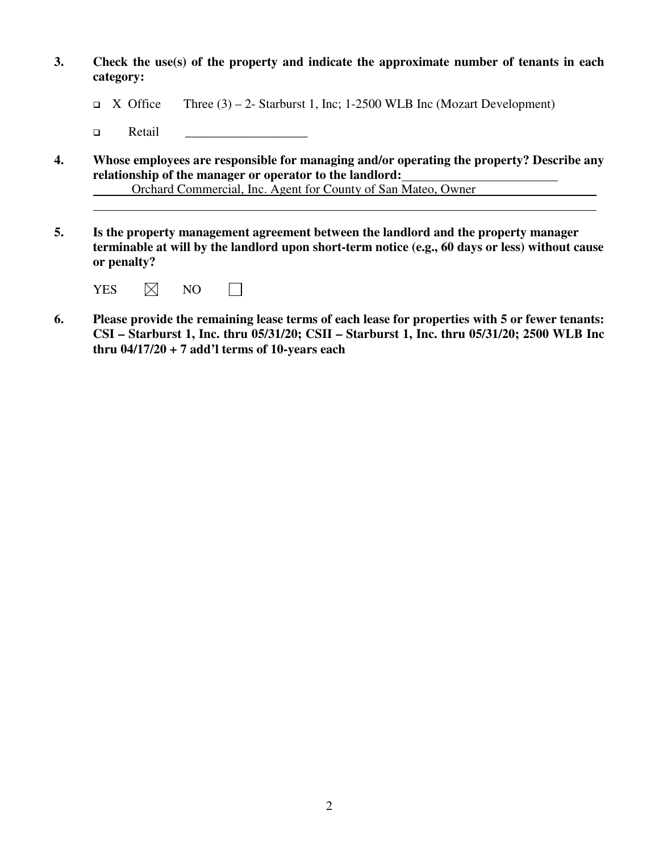- **3. Check the use(s) of the property and indicate the approximate number of tenants in each category:** 
	- $\Box$  X Office Three (3) 2- Starburst 1, Inc; 1-2500 WLB Inc (Mozart Development)
	- Retail \_\_\_\_\_\_\_\_\_\_\_\_\_\_\_\_\_\_\_
- **4. Whose employees are responsible for managing and/or operating the property? Describe any relationship of the manager or operator to the landlord:**

Orchard Commercial, Inc. Agent for County of San Mateo, Owner

**5. Is the property management agreement between the landlord and the property manager terminable at will by the landlord upon short-term notice (e.g., 60 days or less) without cause or penalty?** 

| <b>YES</b> | $\boxtimes$ | NΟ |  |
|------------|-------------|----|--|
|------------|-------------|----|--|

 $\overline{a}$ 

**6. Please provide the remaining lease terms of each lease for properties with 5 or fewer tenants: CSI – Starburst 1, Inc. thru 05/31/20; CSII – Starburst 1, Inc. thru 05/31/20; 2500 WLB Inc thru 04/17/20 + 7 add'l terms of 10-years each**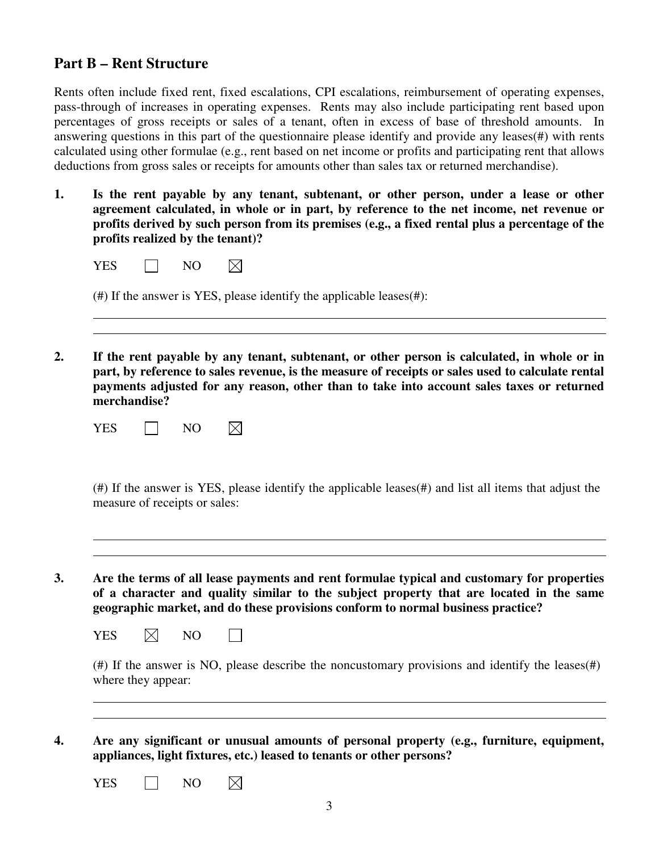#### **Part B – Rent Structure**

Rents often include fixed rent, fixed escalations, CPI escalations, reimbursement of operating expenses, pass-through of increases in operating expenses. Rents may also include participating rent based upon percentages of gross receipts or sales of a tenant, often in excess of base of threshold amounts. In answering questions in this part of the questionnaire please identify and provide any leases(#) with rents calculated using other formulae (e.g., rent based on net income or profits and participating rent that allows deductions from gross sales or receipts for amounts other than sales tax or returned merchandise).

**1. Is the rent payable by any tenant, subtenant, or other person, under a lease or other agreement calculated, in whole or in part, by reference to the net income, net revenue or profits derived by such person from its premises (e.g., a fixed rental plus a percentage of the profits realized by the tenant)?** 

| $(\#)$ If the answer is YES, please identify the applicable leases $(\#)$ :                                                                                                                                                                                                                   |
|-----------------------------------------------------------------------------------------------------------------------------------------------------------------------------------------------------------------------------------------------------------------------------------------------|
|                                                                                                                                                                                                                                                                                               |
| If the rent payable by any tenant, subtenant, or other person is calculated, in whole or in<br>part, by reference to sales revenue, is the measure of receipts or sales used to calculate rental<br>payments adjusted for any reason, other than to take into account sales taxes or returned |
|                                                                                                                                                                                                                                                                                               |

(#) If the answer is YES, please identify the applicable leases(#) and list all items that adjust the measure of receipts or sales:

**3. Are the terms of all lease payments and rent formulae typical and customary for properties of a character and quality similar to the subject property that are located in the same geographic market, and do these provisions conform to normal business practice?** 

| YES | $\boxtimes$ | NΟ |  |
|-----|-------------|----|--|
|-----|-------------|----|--|

 $\Box$ 

(#) If the answer is NO, please describe the noncustomary provisions and identify the leases(#) where they appear:

**4. Are any significant or unusual amounts of personal property (e.g., furniture, equipment, appliances, light fixtures, etc.) leased to tenants or other persons?** 

YES NO  $\boxtimes$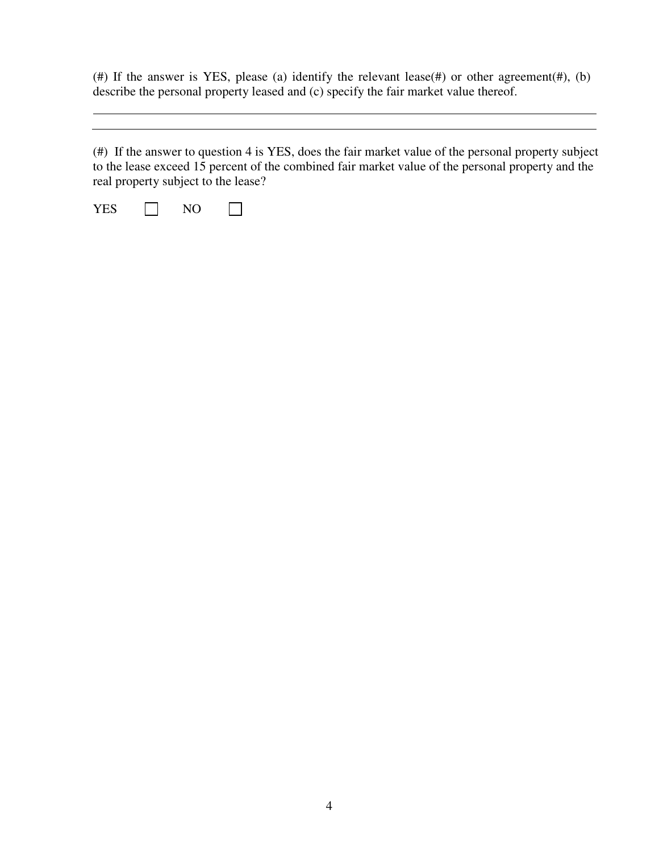(#) If the answer is YES, please (a) identify the relevant lease(#) or other agreement(#), (b) describe the personal property leased and (c) specify the fair market value thereof.

(#) If the answer to question 4 is YES, does the fair market value of the personal property subject to the lease exceed 15 percent of the combined fair market value of the personal property and the real property subject to the lease?

YES  $\Box$  NO  $\Box$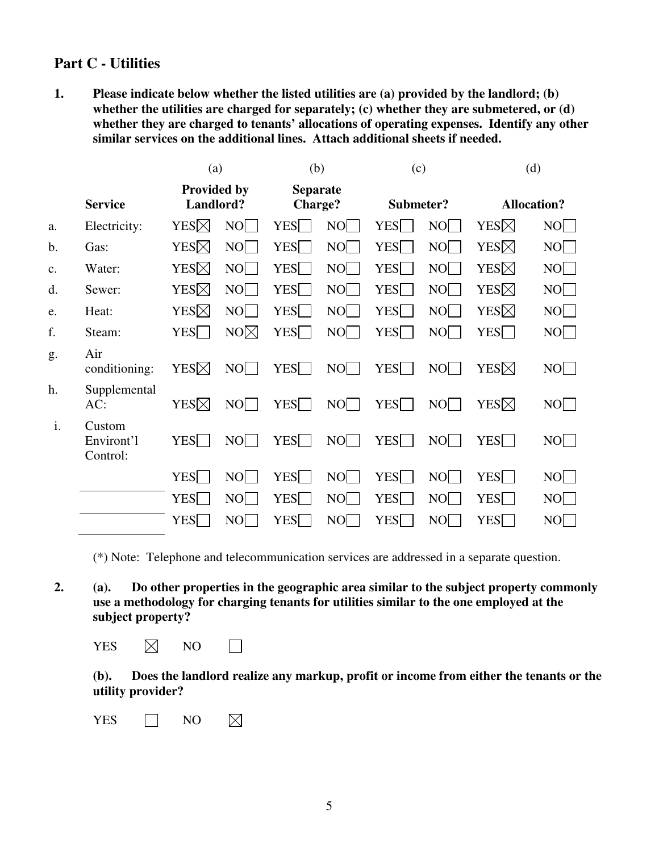## **Part C - Utilities**

**1. Please indicate below whether the listed utilities are (a) provided by the landlord; (b) whether the utilities are charged for separately; (c) whether they are submetered, or (d) whether they are charged to tenants' allocations of operating expenses. Identify any other similar services on the additional lines. Attach additional sheets if needed.** 

|                |                                  | (a)<br><b>Provided by</b><br>Landlord? |                 |                    | (b)<br><b>Separate</b><br><b>Charge?</b> |                    | (c)<br>Submeter? |                 | (d)<br><b>Allocation?</b> |  |
|----------------|----------------------------------|----------------------------------------|-----------------|--------------------|------------------------------------------|--------------------|------------------|-----------------|---------------------------|--|
|                | <b>Service</b>                   |                                        |                 |                    |                                          |                    |                  |                 |                           |  |
| a.             | Electricity:                     | YES⊠                                   | N()             | <b>YES</b>         | N <sub>O</sub>                           | YES <sup>[-]</sup> | NO               | YES⊠            | NO                        |  |
| b.             | Gas:                             | YES⊠                                   | N()             | <b>YES</b>         | N <sub>O</sub>                           | YES                | NO               | YES $\boxtimes$ | NO                        |  |
| $\mathbf{c}$ . | Water:                           | YES⊠                                   | N()             | YES <sup>T</sup>   | N <sub>O</sub>                           | <b>YES</b>         | NO               | YES $\boxtimes$ | NO                        |  |
| d.             | Sewer:                           | YES⊠                                   | NO              | YES                | NO                                       | <b>YES</b>         | NO               | YES $\boxtimes$ | NO                        |  |
| e.             | Heat:                            | YES⊠                                   | NO              | <b>YES</b>         | NO                                       | <b>YES</b>         | NO               | YES $\boxtimes$ | NO                        |  |
| f.             | Steam:                           | YES <sup>[]</sup>                      | NO <sub>1</sub> | <b>YES</b>         | NO                                       | <b>YES</b>         | NO               | YES $\Box$      | NO                        |  |
| g.             | Air<br>conditioning:             | YES⊠                                   | $N$ O $\vert$   | <b>YES</b>         | NO <sub>I</sub>                          | <b>YES</b>         | NO               | YES $\boxtimes$ | NO                        |  |
| h.             | Supplemental<br>AC:              | YES⊠                                   | NO              | YES                | NO                                       | YES                | NO               | YES⊠            | NO                        |  |
| i.             | Custom<br>Environt'l<br>Control: | YES $\Box$                             | NO              | YES <sup>[-]</sup> | NO <sub>[</sub>                          | <b>YES</b>         | NO               | <b>YES</b>      | NO                        |  |
|                |                                  | YES                                    | $N$ O $\vert$   | YES                | NO <sub>1</sub>                          | <b>YES</b>         | $NO$             | <b>YES</b>      | NO                        |  |
|                |                                  | YES <sup>[-1</sup> ]                   | NO              | <b>YES</b>         | N <sub>O</sub>                           | <b>YES</b>         | NO               | <b>YES</b>      | NO                        |  |
|                |                                  | YES                                    | N <sub>O</sub>  | <b>YES</b>         | N <sub>O</sub>                           | YES                | NO               | YES             | NO                        |  |

(\*) Note: Telephone and telecommunication services are addressed in a separate question.

**2. (a). Do other properties in the geographic area similar to the subject property commonly use a methodology for charging tenants for utilities similar to the one employed at the subject property?** 

YES  $\boxtimes$  NO  $\Box$ 

**(b). Does the landlord realize any markup, profit or income from either the tenants or the utility provider?** 

YES  $\Box$  NO  $\boxtimes$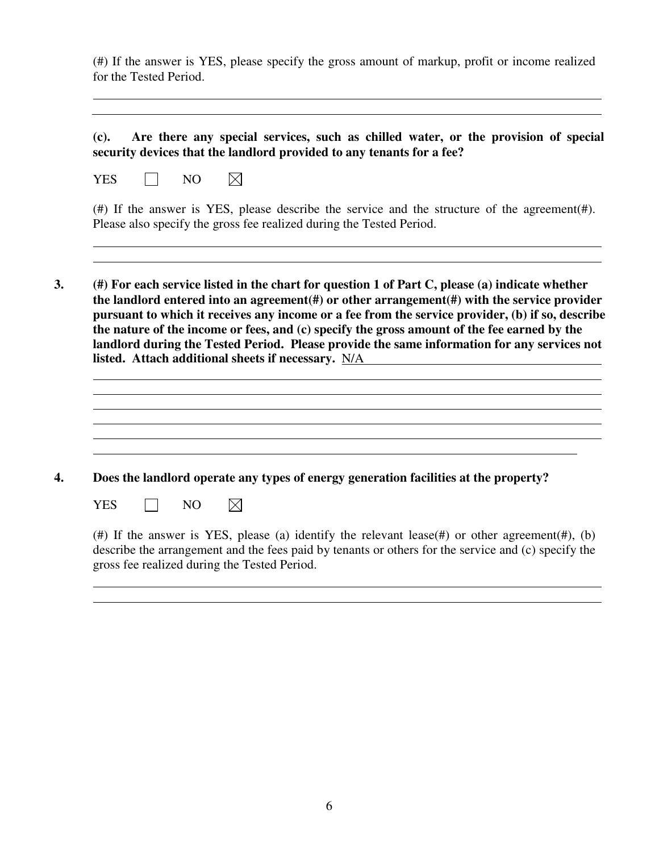(#) If the answer is YES, please specify the gross amount of markup, profit or income realized for the Tested Period.

**(c). Are there any special services, such as chilled water, or the provision of special security devices that the landlord provided to any tenants for a fee?** 

 $\boxtimes$ YES  $\Box$  NO

(#) If the answer is YES, please describe the service and the structure of the agreement( $#$ ). Please also specify the gross fee realized during the Tested Period.

**3. (#) For each service listed in the chart for question 1 of Part C, please (a) indicate whether the landlord entered into an agreement(#) or other arrangement(#) with the service provider pursuant to which it receives any income or a fee from the service provider, (b) if so, describe the nature of the income or fees, and (c) specify the gross amount of the fee earned by the landlord during the Tested Period. Please provide the same information for any services not listed. Attach additional sheets if necessary.** N/A

**4. Does the landlord operate any types of energy generation facilities at the property?** 

 $YES \tN0$  $\boxtimes$ 

 $\overline{a}$ 

 $\overline{a}$ 

(#) If the answer is YES, please (a) identify the relevant lease(#) or other agreement(#), (b) describe the arrangement and the fees paid by tenants or others for the service and (c) specify the gross fee realized during the Tested Period.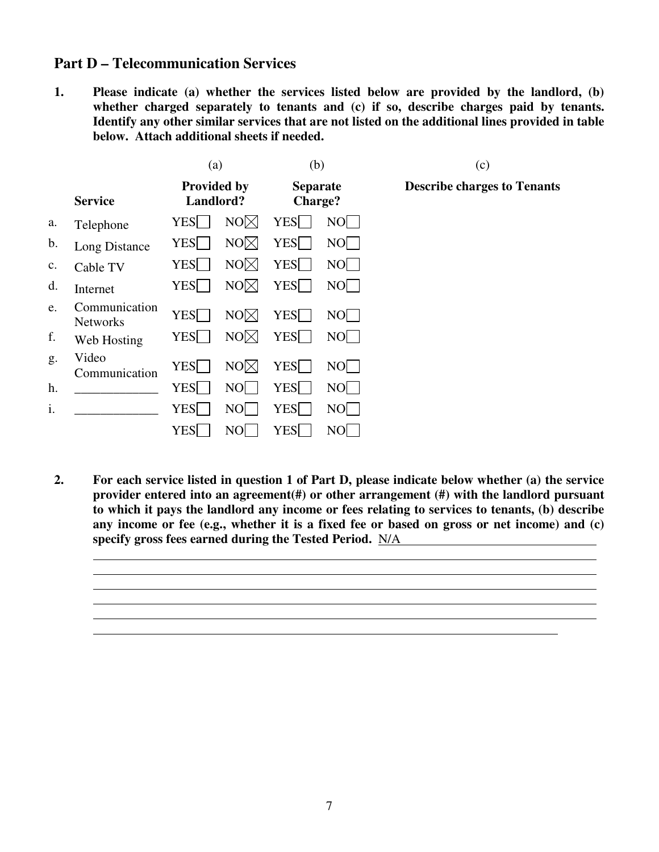### **Part D – Telecommunication Services**

 $\overline{a}$ 

 $\overline{a}$ 

**1. Please indicate (a) whether the services listed below are provided by the landlord, (b) whether charged separately to tenants and (c) if so, describe charges paid by tenants. Identify any other similar services that are not listed on the additional lines provided in table below. Attach additional sheets if needed.** 

|    |                                  | (a)<br><b>Provided by</b><br>Landlord? |                 | (b)<br><b>Separate</b><br>Charge? |                | (c)                                |  |
|----|----------------------------------|----------------------------------------|-----------------|-----------------------------------|----------------|------------------------------------|--|
|    | <b>Service</b>                   |                                        |                 |                                   |                | <b>Describe charges to Tenants</b> |  |
| a. | Telephone                        | <b>YES</b>                             | NO <sub>1</sub> | <b>YES</b>                        | NO             |                                    |  |
| b. | Long Distance                    | <b>YES</b>                             | $NO\times$      | <b>YES</b>                        | NO             |                                    |  |
| c. | Cable TV                         | <b>YES</b>                             | NO <sub>1</sub> | <b>YES</b>                        | N()            |                                    |  |
| d. | Internet                         | <b>YES</b>                             | NO <sub>1</sub> | <b>YES</b>                        | NO             |                                    |  |
| e. | Communication<br><b>Networks</b> | YES <sup>[-1</sup> ]                   | NO <sub>1</sub> | <b>YES</b>                        | NO             |                                    |  |
| f. | Web Hosting                      | <b>YES</b>                             | NO <sub>1</sub> | <b>YES</b>                        | NO             |                                    |  |
| g. | Video<br>Communication           | <b>YES</b>                             | NO <sub>1</sub> | <b>YES</b>                        | N <sub>O</sub> |                                    |  |
| h. |                                  | <b>YES</b>                             | N <sub>O</sub>  | <b>YES</b>                        | N()            |                                    |  |
| i. |                                  | <b>YES</b>                             | NO              | <b>YES</b>                        | $NO$           |                                    |  |
|    |                                  | <b>YES</b>                             | NO              | <b>YES</b>                        | NO             |                                    |  |

**2. For each service listed in question 1 of Part D, please indicate below whether (a) the service provider entered into an agreement(#) or other arrangement (#) with the landlord pursuant to which it pays the landlord any income or fees relating to services to tenants, (b) describe any income or fee (e.g., whether it is a fixed fee or based on gross or net income) and (c) specify gross fees earned during the Tested Period.** N/A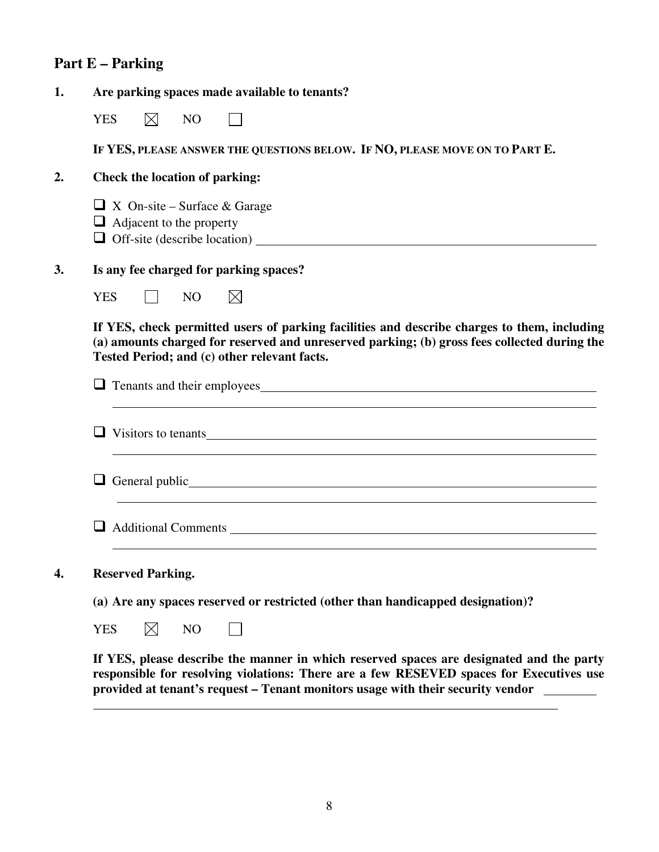# **Part E – Parking**

 $\overline{a}$ 

| 1. | Are parking spaces made available to tenants?                                                                                                                                                                                               |
|----|---------------------------------------------------------------------------------------------------------------------------------------------------------------------------------------------------------------------------------------------|
|    | $\boxtimes$<br><b>YES</b><br>N <sub>O</sub>                                                                                                                                                                                                 |
|    | IF YES, PLEASE ANSWER THE QUESTIONS BELOW. IF NO, PLEASE MOVE ON TO PART E.                                                                                                                                                                 |
| 2. | <b>Check the location of parking:</b>                                                                                                                                                                                                       |
|    | $\Box$ X On-site – Surface & Garage<br>$\Box$ Adjacent to the property<br>$\Box$ Off-site (describe location) $\Box$                                                                                                                        |
| 3. | Is any fee charged for parking spaces?                                                                                                                                                                                                      |
|    | <b>YES</b><br>N <sub>O</sub><br>$\boxtimes$                                                                                                                                                                                                 |
|    | If YES, check permitted users of parking facilities and describe charges to them, including<br>(a) amounts charged for reserved and unreserved parking; (b) gross fees collected during the<br>Tested Period; and (c) other relevant facts. |
|    |                                                                                                                                                                                                                                             |
|    | Visitors to tenants                                                                                                                                                                                                                         |
|    | $\Box$ General public $\Box$                                                                                                                                                                                                                |
|    |                                                                                                                                                                                                                                             |
| 4. | <b>Reserved Parking.</b>                                                                                                                                                                                                                    |
|    | (a) Are any spaces reserved or restricted (other than handicapped designation)?                                                                                                                                                             |
|    | $\boxtimes$<br><b>YES</b><br>N <sub>O</sub>                                                                                                                                                                                                 |
|    | If YES, please describe the manner in which reserved spaces are designated and the party<br>responsible for resolving violations: There are a few RESEVED spaces for Executives use                                                         |

**provided at tenant's request – Tenant monitors usage with their security vendor** 

 $\overline{\phantom{a}}$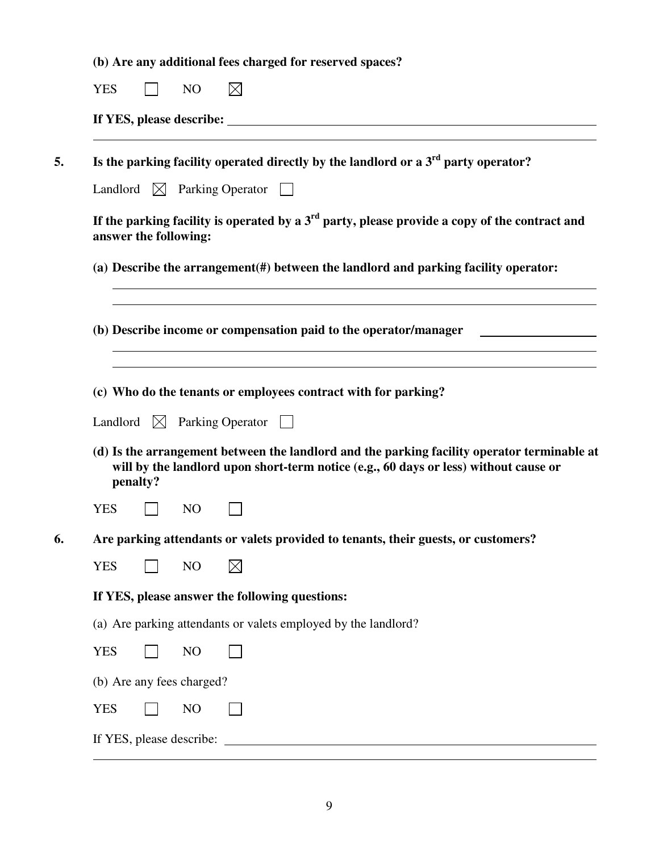| (b) Are any additional fees charged for reserved spaces? |  |
|----------------------------------------------------------|--|
|----------------------------------------------------------|--|

|                          |                       |                           | Is the parking facility operated directly by the landlord or a $3rd$ party operator?                                                                                                |
|--------------------------|-----------------------|---------------------------|-------------------------------------------------------------------------------------------------------------------------------------------------------------------------------------|
|                          |                       |                           | Landlord $\boxtimes$ Parking Operator                                                                                                                                               |
|                          | answer the following: |                           | If the parking facility is operated by a $3rd$ party, please provide a copy of the contract and                                                                                     |
|                          |                       |                           | (a) Describe the arrangement(#) between the landlord and parking facility operator:                                                                                                 |
|                          |                       |                           | (b) Describe income or compensation paid to the operator/manager                                                                                                                    |
|                          |                       |                           | (c) Who do the tenants or employees contract with for parking?                                                                                                                      |
|                          |                       |                           |                                                                                                                                                                                     |
|                          | Landlord $\bowtie$    |                           | Parking Operator                                                                                                                                                                    |
|                          | penalty?              |                           | (d) Is the arrangement between the landlord and the parking facility operator terminable at<br>will by the landlord upon short-term notice (e.g., 60 days or less) without cause or |
|                          |                       | N <sub>O</sub>            |                                                                                                                                                                                     |
|                          |                       |                           | Are parking attendants or valets provided to tenants, their guests, or customers?                                                                                                   |
| <b>YES</b><br><b>YES</b> |                       | N <sub>O</sub>            | $\boxtimes$                                                                                                                                                                         |
|                          |                       |                           | If YES, please answer the following questions:                                                                                                                                      |
|                          |                       |                           | (a) Are parking attendants or valets employed by the landlord?                                                                                                                      |
| <b>YES</b>               |                       | NO                        |                                                                                                                                                                                     |
|                          |                       | (b) Are any fees charged? |                                                                                                                                                                                     |

 $\overline{a}$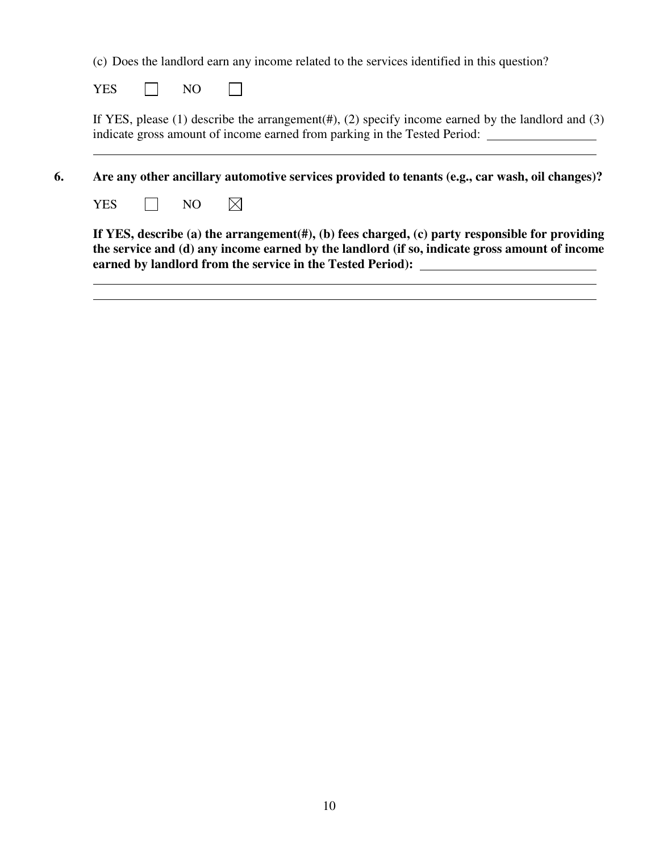(c) Does the landlord earn any income related to the services identified in this question?

YES  $\Box$  NO  $\Box$ 

If YES, please (1) describe the arrangement(#), (2) specify income earned by the landlord and (3) indicate gross amount of income earned from parking in the Tested Period:

**6. Are any other ancillary automotive services provided to tenants (e.g., car wash, oil changes)?** 

YES  $\Box$  NO  $\boxtimes$ 

 $\overline{a}$ 

 $\overline{a}$ 

**If YES, describe (a) the arrangement(#), (b) fees charged, (c) party responsible for providing the service and (d) any income earned by the landlord (if so, indicate gross amount of income earned by landlord from the service in the Tested Period):**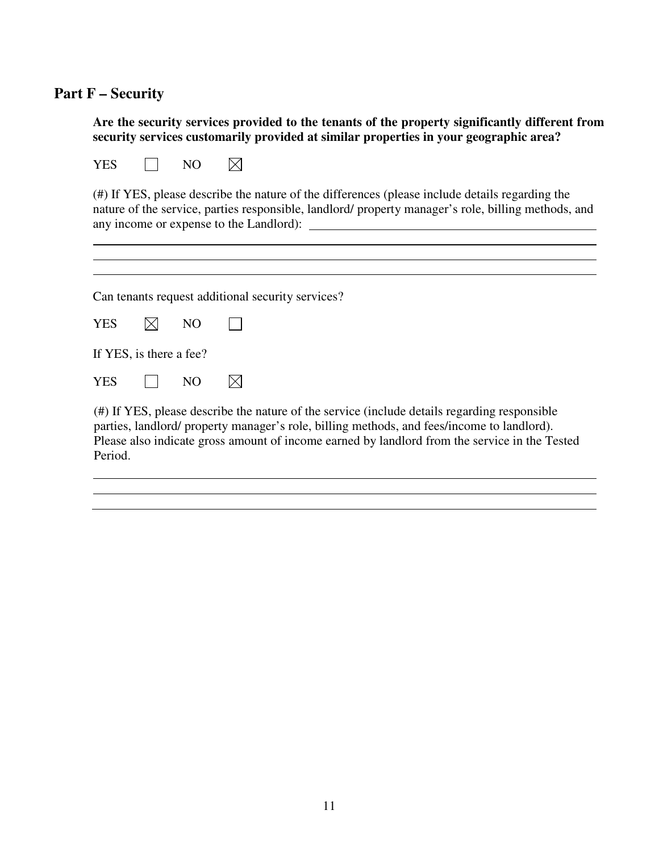# **Part F – Security**

| Are the security services provided to the tenants of the property significantly different from |
|------------------------------------------------------------------------------------------------|
| security services customarily provided at similar properties in your geographic area?          |

| <b>YES</b><br>NO                                                                                                                                                                                                                                                                                       |  |
|--------------------------------------------------------------------------------------------------------------------------------------------------------------------------------------------------------------------------------------------------------------------------------------------------------|--|
| (#) If YES, please describe the nature of the differences (please include details regarding the<br>nature of the service, parties responsible, landlord/ property manager's role, billing methods, and<br>any income or expense to the Landlord):                                                      |  |
|                                                                                                                                                                                                                                                                                                        |  |
| Can tenants request additional security services?                                                                                                                                                                                                                                                      |  |
| <b>YES</b><br>N <sub>O</sub>                                                                                                                                                                                                                                                                           |  |
| If YES, is there a fee?                                                                                                                                                                                                                                                                                |  |
| <b>YES</b><br>N <sub>O</sub>                                                                                                                                                                                                                                                                           |  |
| (#) If YES, please describe the nature of the service (include details regarding responsible<br>parties, landlord/ property manager's role, billing methods, and fees/income to landlord).<br>Please also indicate gross amount of income earned by landlord from the service in the Tested<br>Period. |  |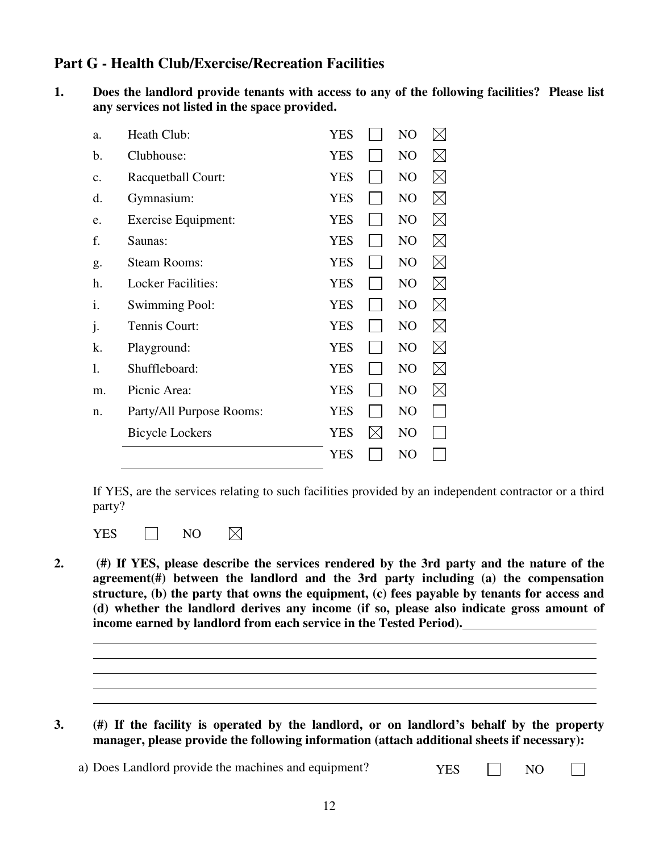## **Part G - Health Club/Exercise/Recreation Facilities**

**1. Does the landlord provide tenants with access to any of the following facilities? Please list any services not listed in the space provided.** 

| a. | Heath Club:                | <b>YES</b> |           | N <sub>O</sub> | IXI         |
|----|----------------------------|------------|-----------|----------------|-------------|
| b. | Clubhouse:                 | <b>YES</b> |           | NO             | IХI         |
| c. | <b>Racquetball Court:</b>  | <b>YES</b> |           | NO             | $\boxtimes$ |
| d. | Gymnasium:                 | <b>YES</b> |           | NO             | $\boxtimes$ |
| e. | <b>Exercise Equipment:</b> | <b>YES</b> |           | NO             | $\bowtie$   |
| f. | Saunas:                    | <b>YES</b> |           | N <sub>O</sub> | $\boxtimes$ |
| g. | <b>Steam Rooms:</b>        | <b>YES</b> |           | N <sub>O</sub> | $\boxtimes$ |
| h. | <b>Locker Facilities:</b>  | <b>YES</b> |           | NO             | $\boxtimes$ |
| i. | <b>Swimming Pool:</b>      | <b>YES</b> |           | N <sub>O</sub> | $\boxtimes$ |
| j. | Tennis Court:              | <b>YES</b> |           | N <sub>O</sub> | $\boxtimes$ |
| k. | Playground:                | <b>YES</b> |           | N <sub>O</sub> | $\bowtie$   |
| 1. | Shuffleboard:              | <b>YES</b> |           | N <sub>O</sub> | $\boxtimes$ |
| m. | Picnic Area:               | <b>YES</b> |           | N <sub>O</sub> | $\boxtimes$ |
| n. | Party/All Purpose Rooms:   | YES        |           | N <sub>O</sub> |             |
|    | <b>Bicycle Lockers</b>     | <b>YES</b> | $\bowtie$ | N <sub>O</sub> |             |
|    |                            | YES        |           | N <sub>O</sub> |             |

If YES, are the services relating to such facilities provided by an independent contractor or a third party?

 $\boxtimes$ YES  $\Box$  NO

 $\overline{a}$ 

**2. (#) If YES, please describe the services rendered by the 3rd party and the nature of the agreement(#) between the landlord and the 3rd party including (a) the compensation structure, (b) the party that owns the equipment, (c) fees payable by tenants for access and (d) whether the landlord derives any income (if so, please also indicate gross amount of income earned by landlord from each service in the Tested Period).**

- **3. (#) If the facility is operated by the landlord, or on landlord's behalf by the property manager, please provide the following information (attach additional sheets if necessary):** 
	- a) Does Landlord provide the machines and equipment?  $YES \tIVOS$

 $\Box$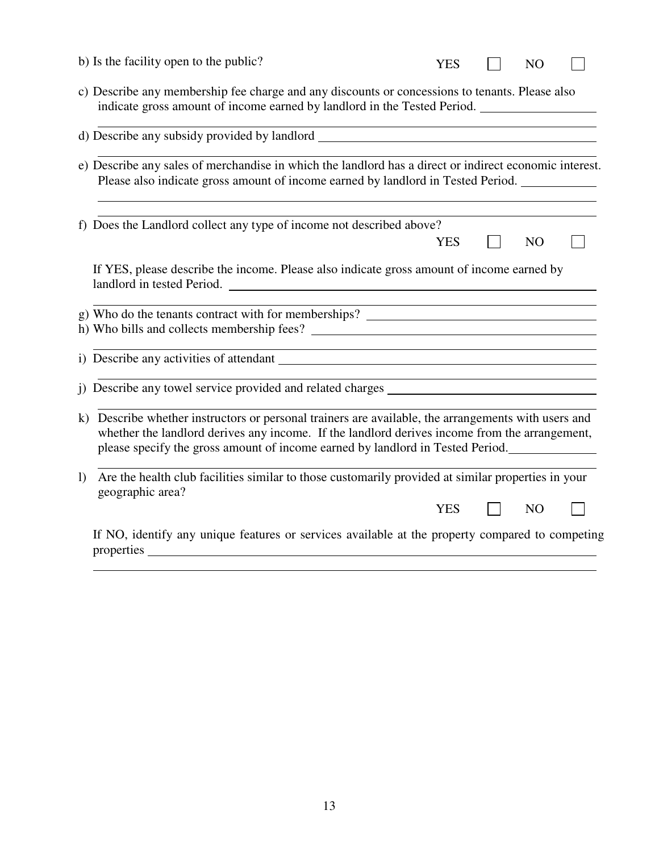|              | b) Is the facility open to the public?                                                                                                                                                                                                                                                 | <b>YES</b> | N <sub>O</sub> |  |
|--------------|----------------------------------------------------------------------------------------------------------------------------------------------------------------------------------------------------------------------------------------------------------------------------------------|------------|----------------|--|
|              | c) Describe any membership fee charge and any discounts or concessions to tenants. Please also<br>indicate gross amount of income earned by landlord in the Tested Period. ___________________________                                                                                 |            |                |  |
|              |                                                                                                                                                                                                                                                                                        |            |                |  |
|              | e) Describe any sales of merchandise in which the landlord has a direct or indirect economic interest.<br>Please also indicate gross amount of income earned by landlord in Tested Period.                                                                                             |            |                |  |
|              | f) Does the Landlord collect any type of income not described above?                                                                                                                                                                                                                   | <b>YES</b> | N <sub>O</sub> |  |
|              | If YES, please describe the income. Please also indicate gross amount of income earned by                                                                                                                                                                                              |            |                |  |
|              | g) Who do the tenants contract with for memberships? ____________________________<br>h) Who bills and collects membership fees?                                                                                                                                                        |            |                |  |
|              | <u> 1990 - Jan James James James James James James James James James James James James James James James James J</u>                                                                                                                                                                   |            |                |  |
|              | i) Describe any towel service provided and related charges                                                                                                                                                                                                                             |            |                |  |
|              | k) Describe whether instructors or personal trainers are available, the arrangements with users and<br>whether the landlord derives any income. If the landlord derives income from the arrangement,<br>please specify the gross amount of income earned by landlord in Tested Period. |            |                |  |
| $\mathbf{I}$ | Are the health club facilities similar to those customarily provided at similar properties in your<br>geographic area?                                                                                                                                                                 | <b>YES</b> | N <sub>O</sub> |  |
|              | If NO, identify any unique features or services available at the property compared to competing                                                                                                                                                                                        |            |                |  |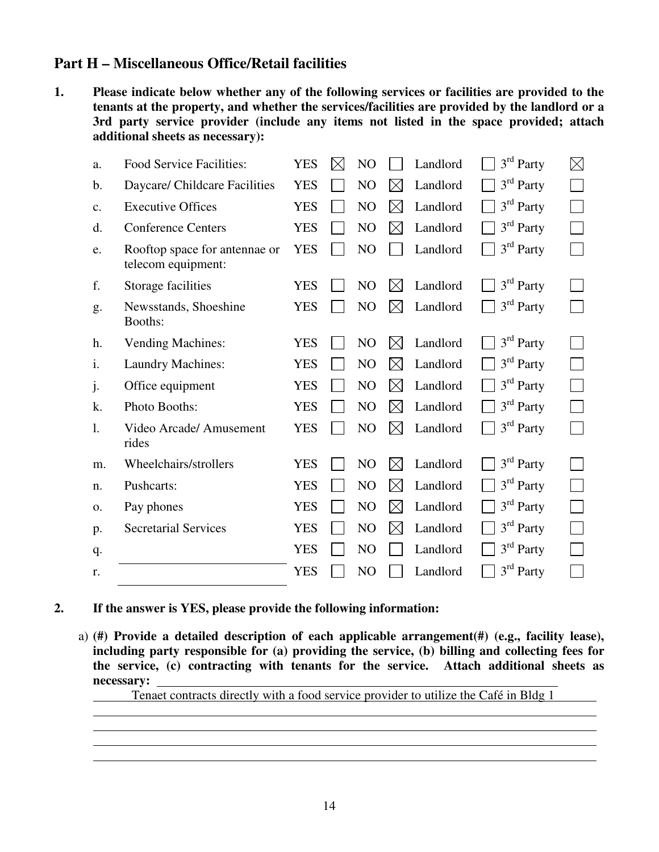### **Part H – Miscellaneous Office/Retail facilities**

**1. Please indicate below whether any of the following services or facilities are provided to the tenants at the property, and whether the services/facilities are provided by the landlord or a 3rd party service provider (include any items not listed in the space provided; attach additional sheets as necessary):** 

| a.            | <b>Food Service Facilities:</b>                     | <b>YES</b> | IX | N <sub>O</sub> |             | Landlord | 3 <sup>rd</sup> Party | $\boxtimes$ |
|---------------|-----------------------------------------------------|------------|----|----------------|-------------|----------|-----------------------|-------------|
| b.            | Daycare/ Childcare Facilities                       | <b>YES</b> |    | N <sub>O</sub> | $\boxtimes$ | Landlord | $3rd$ Party           |             |
| $C_{\bullet}$ | <b>Executive Offices</b>                            | <b>YES</b> |    | NO             | $\boxtimes$ | Landlord | $3rd$ Party           |             |
| d.            | <b>Conference Centers</b>                           | <b>YES</b> |    | N <sub>O</sub> | $\boxtimes$ | Landlord | $3rd$ Party           |             |
| e.            | Rooftop space for antennae or<br>telecom equipment: | <b>YES</b> |    | N <sub>O</sub> |             | Landlord | $3rd$ Party           |             |
| f.            | Storage facilities                                  | <b>YES</b> |    | N <sub>O</sub> | $\boxtimes$ | Landlord | $3rd$ Party           |             |
| g.            | Newsstands, Shoeshine<br>Booths:                    | <b>YES</b> |    | NO             | $\boxtimes$ | Landlord | 3 <sup>rd</sup> Party |             |
| h.            | <b>Vending Machines:</b>                            | <b>YES</b> |    | N <sub>O</sub> | $\boxtimes$ | Landlord | 3 <sup>rd</sup> Party |             |
| i.            | <b>Laundry Machines:</b>                            | <b>YES</b> |    | N <sub>O</sub> | $\boxtimes$ | Landlord | $3rd$ Party           |             |
| $\mathbf{1}$  | Office equipment                                    | <b>YES</b> |    | NO             | $\times$    | Landlord | $3rd$ Party           |             |
| k.            | Photo Booths:                                       | <b>YES</b> |    | NO             | $\boxtimes$ | Landlord | $3rd$ Party           |             |
| 1.            | Video Arcade/ Amusement<br>rides                    | <b>YES</b> |    | NO             | $\times$    | Landlord | 3 <sup>rd</sup> Party |             |
| m.            | Wheelchairs/strollers                               | <b>YES</b> |    | N <sub>O</sub> | $\times$    | Landlord | $3rd$ Party           |             |
| n.            | Pushcarts:                                          | <b>YES</b> |    | N <sub>O</sub> | $\times$    | Landlord | $3rd$ Party           |             |
| 0.            | Pay phones                                          | <b>YES</b> |    | NO             | $\boxtimes$ | Landlord | $3rd$ Party           |             |
| p.            | <b>Secretarial Services</b>                         | <b>YES</b> |    | N <sub>O</sub> | $\times$    | Landlord | $3rd$ Party           |             |
| q.            |                                                     | <b>YES</b> |    | NO             |             | Landlord | 3 <sup>rd</sup> Party |             |
| r.            |                                                     | <b>YES</b> |    | NO             |             | Landlord | $3rd$ Party           |             |

#### **2. If the answer is YES, please provide the following information:**

 $\overline{a}$ 

a) **(#) Provide a detailed description of each applicable arrangement(#) (e.g., facility lease), including party responsible for (a) providing the service, (b) billing and collecting fees for the service, (c) contracting with tenants for the service. Attach additional sheets as necessary:** 

Tenaet contracts directly with a food service provider to utilize the Café in Bldg 1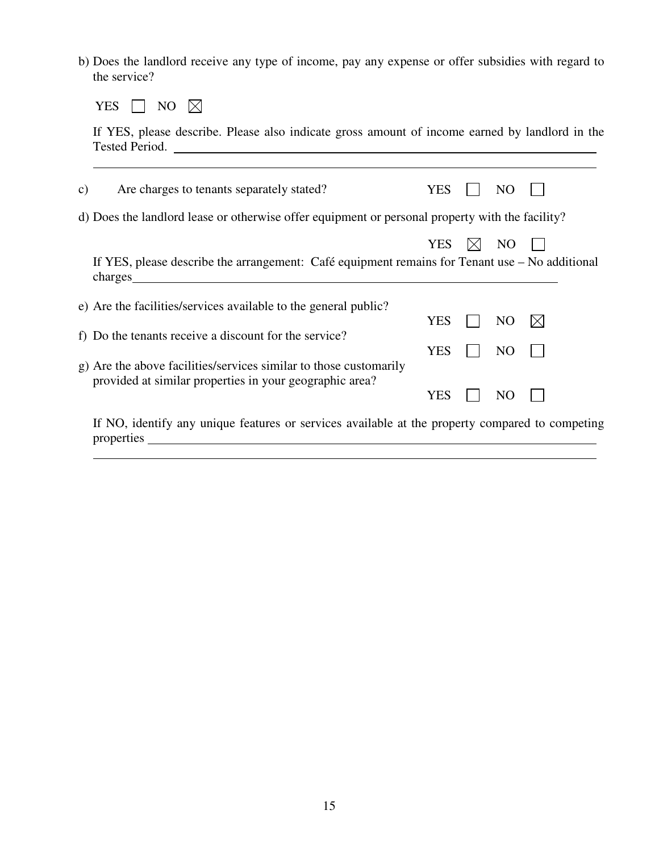b) Does the landlord receive any type of income, pay any expense or offer subsidies with regard to the service?

YES  $\Box$  NO  $\boxtimes$ 

 If YES, please describe. Please also indicate gross amount of income earned by landlord in the Tested Period.

| C) | Are charges to tenants separately stated?                                                                                                                      | <b>YES</b> | NO             |  |
|----|----------------------------------------------------------------------------------------------------------------------------------------------------------------|------------|----------------|--|
|    | d) Does the landford lease or otherwise offer equipment or personal property with the facility?                                                                |            |                |  |
|    |                                                                                                                                                                | <b>YES</b> | N <sub>O</sub> |  |
|    | If YES, please describe the arrangement: Café equipment remains for Tenant use - No additional<br>charges                                                      |            |                |  |
|    | e) Are the facilities/services available to the general public?                                                                                                |            |                |  |
|    | f) Do the tenants receive a discount for the service?                                                                                                          | YES        | N <sub>O</sub> |  |
|    |                                                                                                                                                                | <b>YES</b> | N <sub>O</sub> |  |
|    | g) Are the above facilities/services similar to those customarily<br>provided at similar properties in your geographic area?                                   |            |                |  |
|    |                                                                                                                                                                | YES        | NO             |  |
|    | If NO, identify any unique features or services available at the property compared to competing<br>properties<br><u> 1980 - Jan Samuel Barbara, margaret e</u> |            |                |  |
|    |                                                                                                                                                                |            |                |  |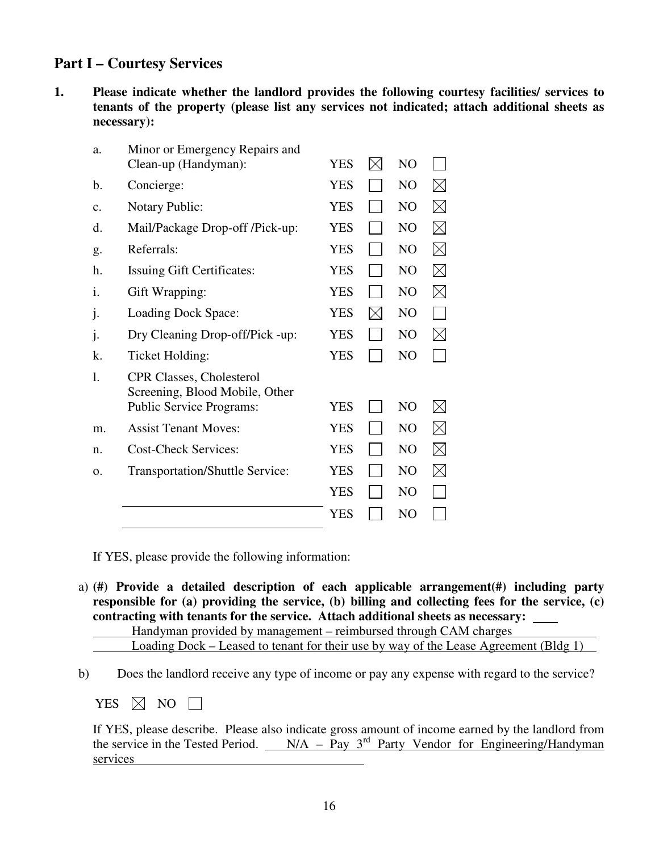# **Part I – Courtesy Services**

**1. Please indicate whether the landlord provides the following courtesy facilities/ services to tenants of the property (please list any services not indicated; attach additional sheets as necessary):** 

| Minor or Emergency Repairs and<br>Clean-up (Handyman):            | YES        |             | NO             |             |
|-------------------------------------------------------------------|------------|-------------|----------------|-------------|
| Concierge:                                                        | <b>YES</b> |             | N <sub>O</sub> | $\boxtimes$ |
| Notary Public:                                                    | <b>YES</b> |             | N <sub>O</sub> | $\boxtimes$ |
| Mail/Package Drop-off /Pick-up:                                   | <b>YES</b> |             | N <sub>O</sub> | $\boxtimes$ |
| Referrals:                                                        | <b>YES</b> |             | NO             | $\boxtimes$ |
| Issuing Gift Certificates:                                        | <b>YES</b> |             | N <sub>O</sub> | $\boxtimes$ |
| Gift Wrapping:                                                    | <b>YES</b> |             | N <sub>O</sub> | $\boxtimes$ |
| Loading Dock Space:                                               | <b>YES</b> | $\boxtimes$ | N <sub>O</sub> | $\sim$      |
| Dry Cleaning Drop-off/Pick -up:                                   | <b>YES</b> |             | N <sub>O</sub> | $\boxtimes$ |
| Ticket Holding:                                                   | <b>YES</b> |             | N <sub>O</sub> |             |
| <b>CPR Classes, Cholesterol</b><br>Screening, Blood Mobile, Other |            |             |                |             |
| <b>Public Service Programs:</b>                                   | YES        |             | N <sub>O</sub> | $\boxtimes$ |
| <b>Assist Tenant Moves:</b>                                       | <b>YES</b> |             | N <sub>O</sub> | $\boxtimes$ |
| <b>Cost-Check Services:</b>                                       | <b>YES</b> |             | N <sub>O</sub> | $\boxtimes$ |
| <b>Transportation/Shuttle Service:</b>                            | <b>YES</b> |             | NO             | $\boxtimes$ |
|                                                                   | <b>YES</b> |             | N <sub>O</sub> |             |
|                                                                   | YES        |             | N <sub>O</sub> |             |
|                                                                   |            |             |                |             |

If YES, please provide the following information:

a) **(#) Provide a detailed description of each applicable arrangement(#) including party responsible for (a) providing the service, (b) billing and collecting fees for the service, (c) contracting with tenants for the service. Attach additional sheets as necessary:** 

|  | Handyman provided by management – reimbursed through CAM charges |  |                                                                                      |  |
|--|------------------------------------------------------------------|--|--------------------------------------------------------------------------------------|--|
|  |                                                                  |  | Loading Dock – Leased to tenant for their use by way of the Lease Agreement (Bldg 1) |  |

b) Does the landlord receive any type of income or pay any expense with regard to the service?

YES  $\boxtimes$  NO  $\Box$ 

| If YES, please describe. Please also indicate gross amount of income earned by the landlord from |  |  |  |  |
|--------------------------------------------------------------------------------------------------|--|--|--|--|
| the service in the Tested Period. $N/A - Pay$ $3rd$ Party Vendor for Engineering/Handyman        |  |  |  |  |
| services                                                                                         |  |  |  |  |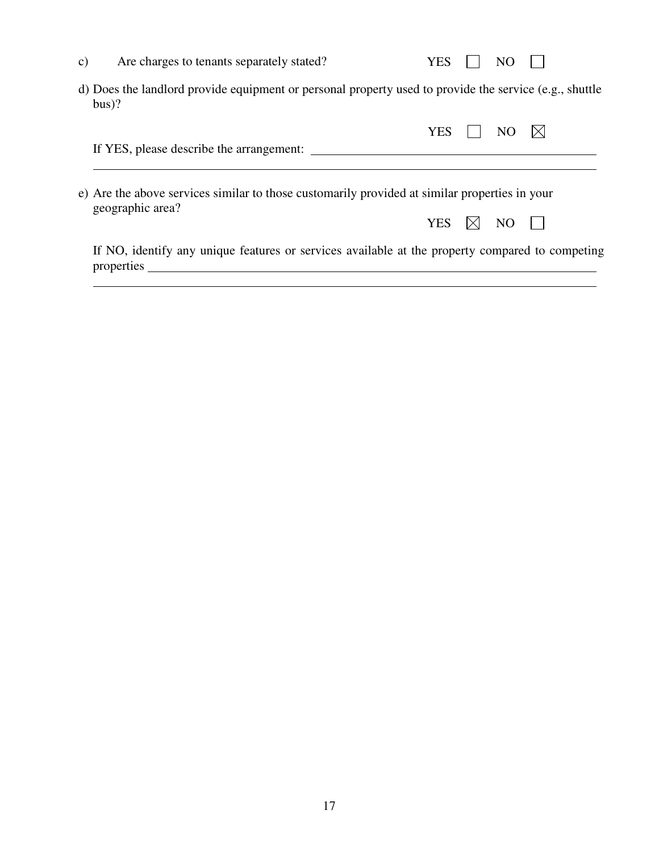| C) | Are charges to tenants separately stated?                                                                         | <b>YES</b> | NC             |  |
|----|-------------------------------------------------------------------------------------------------------------------|------------|----------------|--|
|    | d) Does the landlord provide equipment or personal property used to provide the service (e.g., shuttle<br>$bus$ ? |            |                |  |
|    |                                                                                                                   | <b>YES</b> | NO.            |  |
|    | If YES, please describe the arrangement:                                                                          |            |                |  |
|    | e) Are the above services similar to those customarily provided at similar properties in your<br>geographic area? | <b>YES</b> | N <sub>O</sub> |  |
|    | If NO, identify any unique features or services available at the property compared to competing<br>properties     |            |                |  |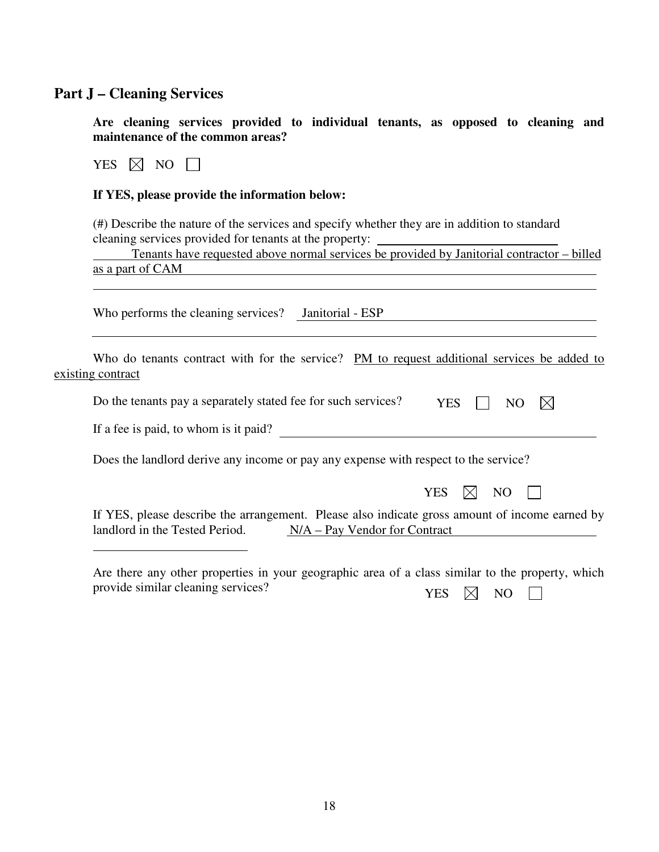## **Part J – Cleaning Services**

**Are cleaning services provided to individual tenants, as opposed to cleaning and maintenance of the common areas?** 

YES  $\boxtimes$  NO  $\Box$ 

 $\overline{a}$ 

#### **If YES, please provide the information below:**

(#) Describe the nature of the services and specify whether they are in addition to standard cleaning services provided for tenants at the property:

| Tenants have requested above normal services be provided by Janitorial contractor – billed |  |
|--------------------------------------------------------------------------------------------|--|
| as a part of CAM                                                                           |  |
|                                                                                            |  |

Who performs the cleaning services? Janitorial - ESP

| Who do tenants contract with for the service? PM to request additional services be added to |     |                |  |
|---------------------------------------------------------------------------------------------|-----|----------------|--|
| existing contract                                                                           |     |                |  |
| Do the tenants pay a separately stated fee for such services?                               | YES | NO $\boxtimes$ |  |
| If a fee is paid, to whom is it paid?                                                       |     |                |  |

Does the landlord derive any income or pay any expense with respect to the service?

|                                                                  |  | YES $\boxtimes$ NO $\Box$ |  |
|------------------------------------------------------------------|--|---------------------------|--|
| the arrangement Dlease also indicate gross amount of income earn |  |                           |  |

If YES, please describe the arrangement. Please also indicate gross amount of income earned by landlord in the Tested Period. N/A – Pay Vendor for Contract

Are there any other properties in your geographic area of a class similar to the property, which provide similar cleaning services? YES  $\times$  NO  $\Box$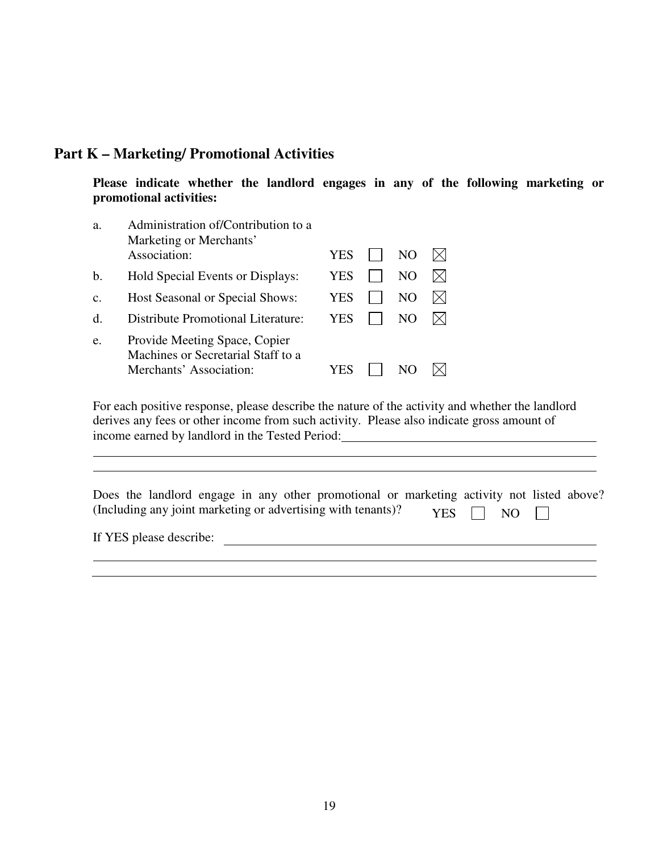### **Part K – Marketing/ Promotional Activities**

**Please indicate whether the landlord engages in any of the following marketing or promotional activities:** 

| a.             | Administration of/Contribution to a<br>Marketing or Merchants'      |     |     |  |
|----------------|---------------------------------------------------------------------|-----|-----|--|
|                | Association:                                                        | YES | NO. |  |
| b.             | Hold Special Events or Displays:                                    | YES | NO. |  |
| $\mathbf{C}$ . | Host Seasonal or Special Shows:                                     | YES | NO  |  |
| $\mathbf d$ .  | Distribute Promotional Literature:                                  | YES | NO  |  |
| e.             | Provide Meeting Space, Copier<br>Machines or Secretarial Staff to a |     |     |  |
|                | Merchants' Association:                                             | YES |     |  |

For each positive response, please describe the nature of the activity and whether the landlord derives any fees or other income from such activity. Please also indicate gross amount of income earned by landlord in the Tested Period:

|  |  |  | Does the landlord engage in any other promotional or marketing activity not listed above? |  |                      |  |  |
|--|--|--|-------------------------------------------------------------------------------------------|--|----------------------|--|--|
|  |  |  | (Including any joint marketing or advertising with tenants)?                              |  | YES $\Box$ NO $\Box$ |  |  |

If YES please describe: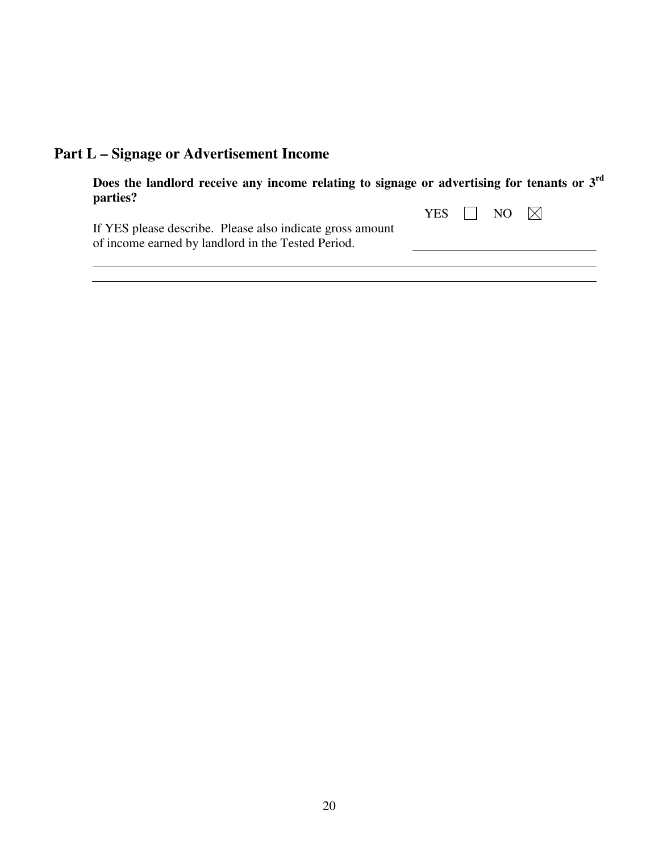| <b>Part L – Signage or Advertisement Income</b> |  |
|-------------------------------------------------|--|
|-------------------------------------------------|--|

| Does the landlord receive any income relating to signage or advertising for tenants or $3rd$<br>parties?        |  |                                           |  |
|-----------------------------------------------------------------------------------------------------------------|--|-------------------------------------------|--|
| If YES please describe. Please also indicate gross amount<br>of income earned by landlord in the Tested Period. |  | YES $\vert \vert$ NO $\vert \times \vert$ |  |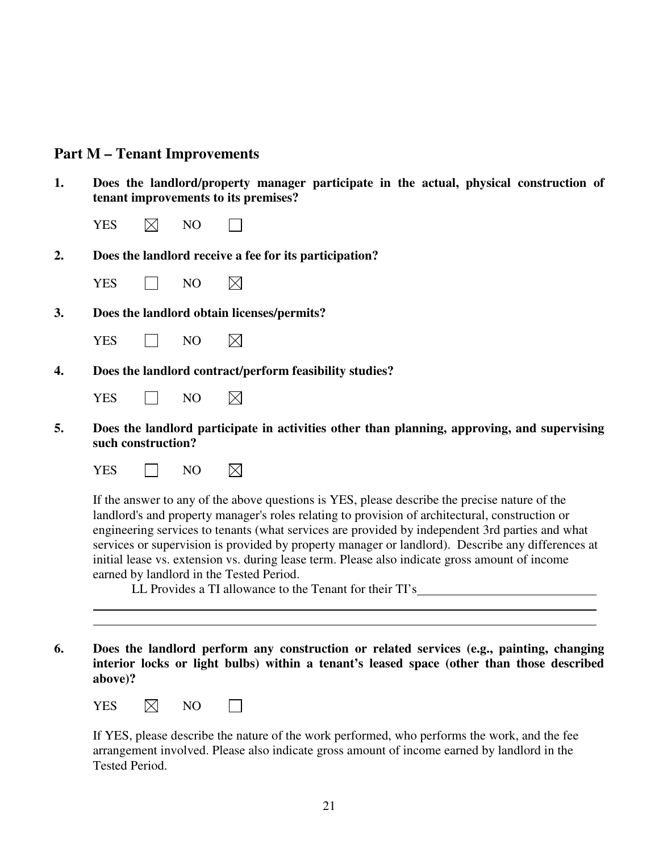#### **Part M – Tenant Improvements**

- **1. Does the landlord/property manager participate in the actual, physical construction of tenant improvements to its premises?** 
	- YES  $\boxtimes$  NO
- **2. Does the landlord receive a fee for its participation?** 
	- $YES \tN0$  $\boxtimes$
- **3. Does the landlord obtain licenses/permits?**

| VEC. | NО |
|------|----|
|------|----|

**4. Does the landlord contract/perform feasibility studies?** 

 $\boxtimes$ 

- $YES \quad \Box \quad NO$  $\boxtimes$
- **5. Does the landlord participate in activities other than planning, approving, and supervising such construction?** 
	- $YES \t\square$  NO  $\boxtimes$

If the answer to any of the above questions is YES, please describe the precise nature of the landlord's and property manager's roles relating to provision of architectural, construction or engineering services to tenants (what services are provided by independent 3rd parties and what services or supervision is provided by property manager or landlord). Describe any differences at initial lease vs. extension vs. during lease term. Please also indicate gross amount of income earned by landlord in the Tested Period.

LL Provides a TI allowance to the Tenant for their TI's

**6. Does the landlord perform any construction or related services (e.g., painting, changing interior locks or light bulbs) within a tenant's leased space (other than those described above)?** 

| YES<br>NO.<br>◡<br>÷Л |  |
|-----------------------|--|
|-----------------------|--|

 $\overline{a}$  $\overline{a}$ 

If YES, please describe the nature of the work performed, who performs the work, and the fee arrangement involved. Please also indicate gross amount of income earned by landlord in the Tested Period.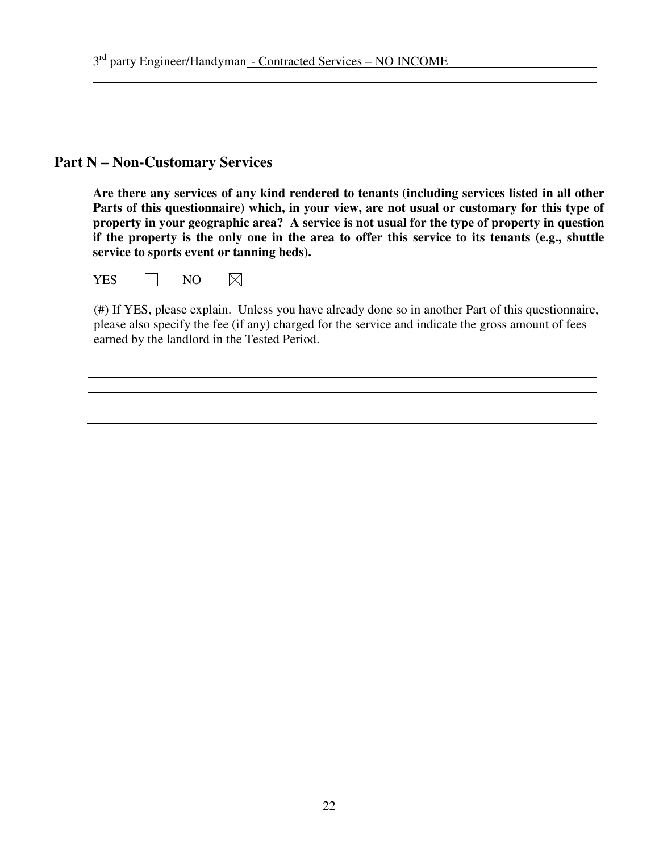## **Part N – Non-Customary Services**

 $\overline{a}$ 

**Are there any services of any kind rendered to tenants (including services listed in all other Parts of this questionnaire) which, in your view, are not usual or customary for this type of property in your geographic area? A service is not usual for the type of property in question if the property is the only one in the area to offer this service to its tenants (e.g., shuttle service to sports event or tanning beds).** 

 $\boxtimes$  $YES \tN0$ 

(#) If YES, please explain. Unless you have already done so in another Part of this questionnaire, please also specify the fee (if any) charged for the service and indicate the gross amount of fees earned by the landlord in the Tested Period.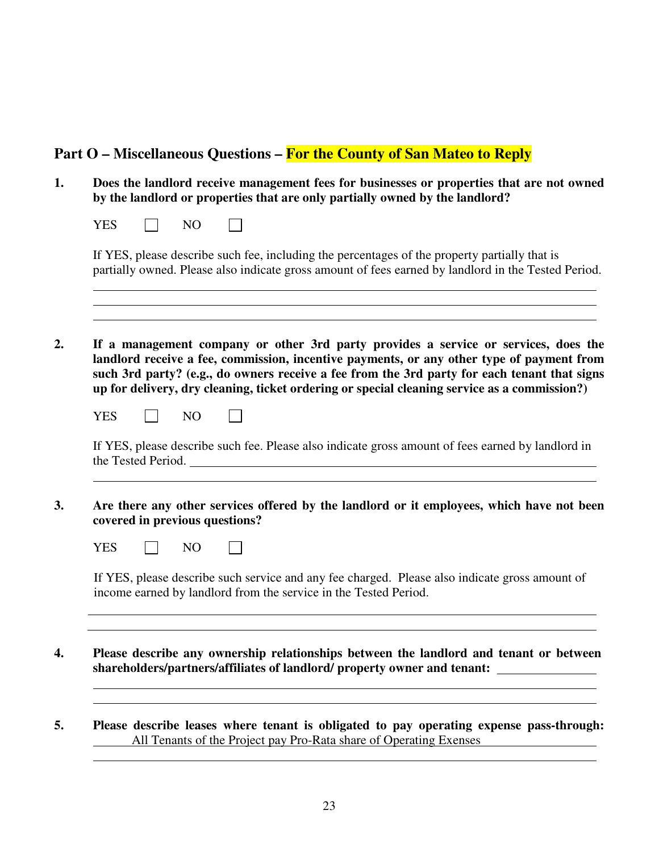### **Part O – Miscellaneous Questions – For the County of San Mateo to Reply**

- **1. Does the landlord receive management fees for businesses or properties that are not owned by the landlord or properties that are only partially owned by the landlord?** 
	- $YES \tN0$

 $\overline{a}$  $\overline{a}$  $\overline{a}$ 

 $\overline{a}$ 

 $\overline{a}$ 

 $\overline{a}$ 

If YES, please describe such fee, including the percentages of the property partially that is partially owned. Please also indicate gross amount of fees earned by landlord in the Tested Period.

**2. If a management company or other 3rd party provides a service or services, does the landlord receive a fee, commission, incentive payments, or any other type of payment from such 3rd party? (e.g., do owners receive a fee from the 3rd party for each tenant that signs up for delivery, dry cleaning, ticket ordering or special cleaning service as a commission?)** 

| <b>YES</b>         | NO. |  |                                                                                                   |
|--------------------|-----|--|---------------------------------------------------------------------------------------------------|
| the Tested Period. |     |  | If YES, please describe such fee. Please also indicate gross amount of fees earned by landlord in |

**3. Are there any other services offered by the landlord or it employees, which have not been covered in previous questions?** 

| VEC.<br>∽ |  | NО |  |  |
|-----------|--|----|--|--|
|-----------|--|----|--|--|

If YES, please describe such service and any fee charged. Please also indicate gross amount of income earned by landlord from the service in the Tested Period.

- **4. Please describe any ownership relationships between the landlord and tenant or between shareholders/partners/affiliates of landlord/ property owner and tenant:**
- **5. Please describe leases where tenant is obligated to pay operating expense pass-through:**  All Tenants of the Project pay Pro-Rata share of Operating Exenses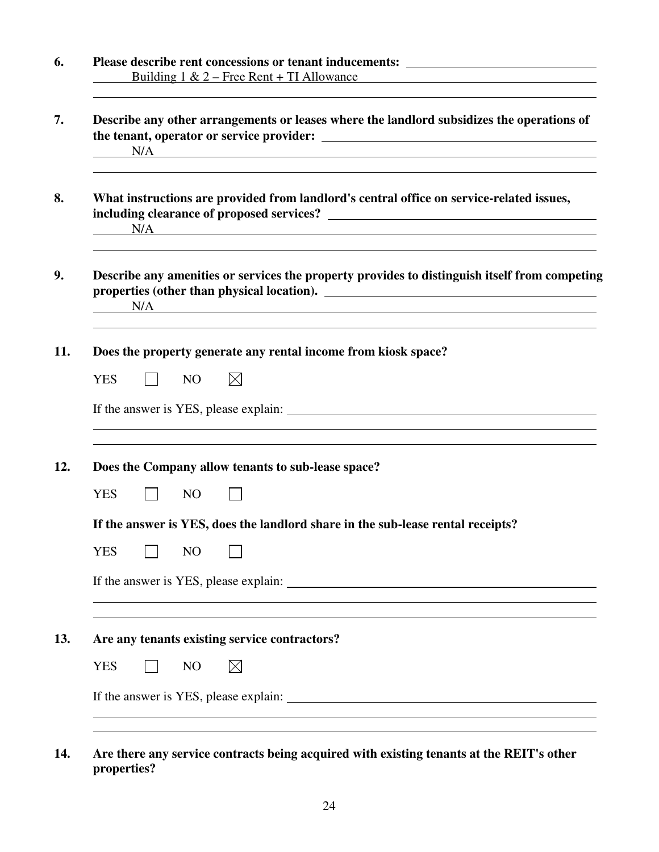| Please describe rent concessions or tenant inducements: _________________________<br><u>Building 1 &amp; 2 – Free Rent + TI Allowance</u> |
|-------------------------------------------------------------------------------------------------------------------------------------------|
| Describe any other arrangements or leases where the landlord subsidizes the operations of<br>N/A                                          |
| What instructions are provided from landlord's central office on service-related issues,<br>N/A                                           |
| Describe any amenities or services the property provides to distinguish itself from competing<br>N/A                                      |
| Does the property generate any rental income from kiosk space?                                                                            |
| $\boxtimes$<br><b>YES</b><br>N <sub>O</sub>                                                                                               |
|                                                                                                                                           |
| Does the Company allow tenants to sub-lease space?                                                                                        |
|                                                                                                                                           |
| <b>YES</b><br>N <sub>O</sub>                                                                                                              |
| If the answer is YES, does the landlord share in the sub-lease rental receipts?                                                           |
| <b>YES</b><br>N <sub>O</sub>                                                                                                              |
|                                                                                                                                           |
| Are any tenants existing service contractors?                                                                                             |
| <b>YES</b><br>$\boxtimes$<br>N <sub>O</sub>                                                                                               |

**14. Are there any service contracts being acquired with existing tenants at the REIT's other properties?**